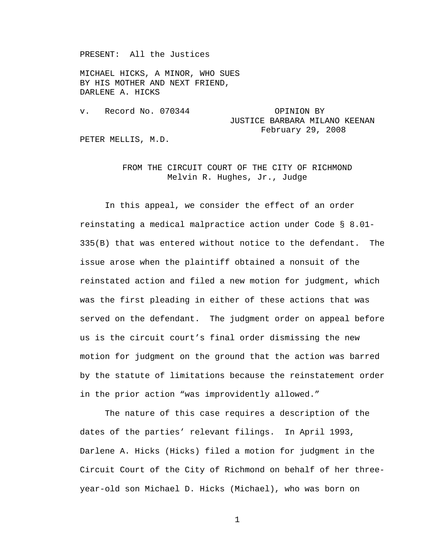PRESENT: All the Justices

MICHAEL HICKS, A MINOR, WHO SUES BY HIS MOTHER AND NEXT FRIEND, DARLENE A. HICKS

v. Record No. 070344 OPINION BY JUSTICE BARBARA MILANO KEENAN February 29, 2008

PETER MELLIS, M.D.

## FROM THE CIRCUIT COURT OF THE CITY OF RICHMOND Melvin R. Hughes, Jr., Judge

 In this appeal, we consider the effect of an order reinstating a medical malpractice action under Code § 8.01- 335(B) that was entered without notice to the defendant. The issue arose when the plaintiff obtained a nonsuit of the reinstated action and filed a new motion for judgment, which was the first pleading in either of these actions that was served on the defendant. The judgment order on appeal before us is the circuit court's final order dismissing the new motion for judgment on the ground that the action was barred by the statute of limitations because the reinstatement order in the prior action "was improvidently allowed."

 The nature of this case requires a description of the dates of the parties' relevant filings. In April 1993, Darlene A. Hicks (Hicks) filed a motion for judgment in the Circuit Court of the City of Richmond on behalf of her threeyear-old son Michael D. Hicks (Michael), who was born on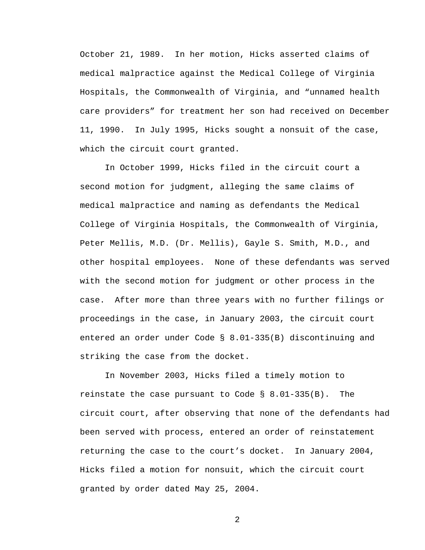October 21, 1989. In her motion, Hicks asserted claims of medical malpractice against the Medical College of Virginia Hospitals, the Commonwealth of Virginia, and "unnamed health care providers" for treatment her son had received on December 11, 1990. In July 1995, Hicks sought a nonsuit of the case, which the circuit court granted.

 In October 1999, Hicks filed in the circuit court a second motion for judgment, alleging the same claims of medical malpractice and naming as defendants the Medical College of Virginia Hospitals, the Commonwealth of Virginia, Peter Mellis, M.D. (Dr. Mellis), Gayle S. Smith, M.D., and other hospital employees. None of these defendants was served with the second motion for judgment or other process in the case. After more than three years with no further filings or proceedings in the case, in January 2003, the circuit court entered an order under Code § 8.01-335(B) discontinuing and striking the case from the docket.

 In November 2003, Hicks filed a timely motion to reinstate the case pursuant to Code § 8.01-335(B). The circuit court, after observing that none of the defendants had been served with process, entered an order of reinstatement returning the case to the court's docket. In January 2004, Hicks filed a motion for nonsuit, which the circuit court granted by order dated May 25, 2004.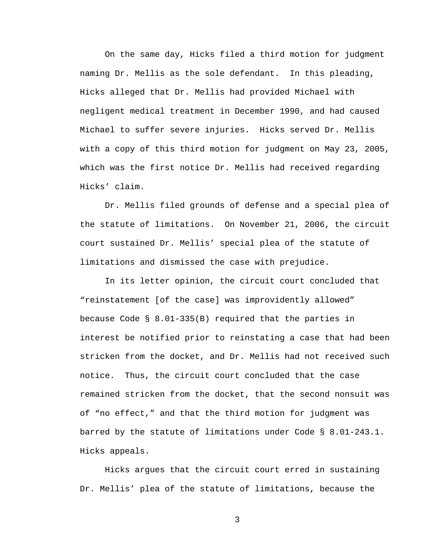On the same day, Hicks filed a third motion for judgment naming Dr. Mellis as the sole defendant. In this pleading, Hicks alleged that Dr. Mellis had provided Michael with negligent medical treatment in December 1990, and had caused Michael to suffer severe injuries. Hicks served Dr. Mellis with a copy of this third motion for judgment on May 23, 2005, which was the first notice Dr. Mellis had received regarding Hicks' claim.

 Dr. Mellis filed grounds of defense and a special plea of the statute of limitations. On November 21, 2006, the circuit court sustained Dr. Mellis' special plea of the statute of limitations and dismissed the case with prejudice.

 In its letter opinion, the circuit court concluded that "reinstatement [of the case] was improvidently allowed" because Code § 8.01-335(B) required that the parties in interest be notified prior to reinstating a case that had been stricken from the docket, and Dr. Mellis had not received such notice. Thus, the circuit court concluded that the case remained stricken from the docket, that the second nonsuit was of "no effect," and that the third motion for judgment was barred by the statute of limitations under Code § 8.01-243.1. Hicks appeals.

 Hicks argues that the circuit court erred in sustaining Dr. Mellis' plea of the statute of limitations, because the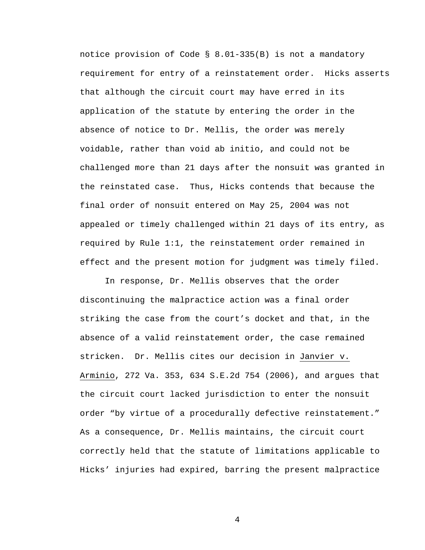notice provision of Code § 8.01-335(B) is not a mandatory requirement for entry of a reinstatement order. Hicks asserts that although the circuit court may have erred in its application of the statute by entering the order in the absence of notice to Dr. Mellis, the order was merely voidable, rather than void ab initio, and could not be challenged more than 21 days after the nonsuit was granted in the reinstated case. Thus, Hicks contends that because the final order of nonsuit entered on May 25, 2004 was not appealed or timely challenged within 21 days of its entry, as required by Rule 1:1, the reinstatement order remained in effect and the present motion for judgment was timely filed.

 In response, Dr. Mellis observes that the order discontinuing the malpractice action was a final order striking the case from the court's docket and that, in the absence of a valid reinstatement order, the case remained stricken. Dr. Mellis cites our decision in Janvier v. Arminio, 272 Va. 353, 634 S.E.2d 754 (2006), and argues that the circuit court lacked jurisdiction to enter the nonsuit order "by virtue of a procedurally defective reinstatement." As a consequence, Dr. Mellis maintains, the circuit court correctly held that the statute of limitations applicable to Hicks' injuries had expired, barring the present malpractice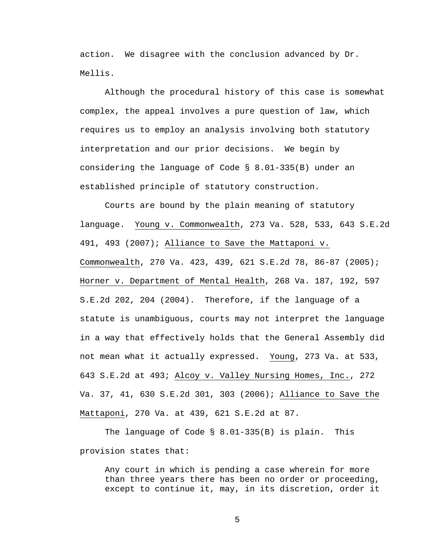action. We disagree with the conclusion advanced by Dr. Mellis.

 Although the procedural history of this case is somewhat complex, the appeal involves a pure question of law, which requires us to employ an analysis involving both statutory interpretation and our prior decisions. We begin by considering the language of Code § 8.01-335(B) under an established principle of statutory construction.

 Courts are bound by the plain meaning of statutory language. Young v. Commonwealth, 273 Va. 528, 533, 643 S.E.2d 491, 493 (2007); Alliance to Save the Mattaponi v. Commonwealth, 270 Va. 423, 439, 621 S.E.2d 78, 86-87 (2005); Horner v. Department of Mental Health, 268 Va. 187, 192, 597 S.E.2d 202, 204 (2004). Therefore, if the language of a statute is unambiguous, courts may not interpret the language in a way that effectively holds that the General Assembly did not mean what it actually expressed. Young, 273 Va. at 533, 643 S.E.2d at 493; Alcoy v. Valley Nursing Homes, Inc., 272 Va. 37, 41, 630 S.E.2d 301, 303 (2006); Alliance to Save the Mattaponi, 270 Va. at 439, 621 S.E.2d at 87.

 The language of Code § 8.01-335(B) is plain. This provision states that:

 Any court in which is pending a case wherein for more than three years there has been no order or proceeding, except to continue it, may, in its discretion, order it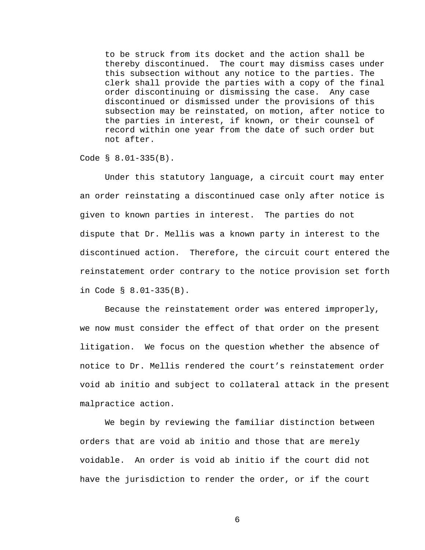to be struck from its docket and the action shall be thereby discontinued. The court may dismiss cases under this subsection without any notice to the parties. The clerk shall provide the parties with a copy of the final order discontinuing or dismissing the case. Any case discontinued or dismissed under the provisions of this subsection may be reinstated, on motion, after notice to the parties in interest, if known, or their counsel of record within one year from the date of such order but not after.

Code § 8.01-335(B).

 Under this statutory language, a circuit court may enter an order reinstating a discontinued case only after notice is given to known parties in interest. The parties do not dispute that Dr. Mellis was a known party in interest to the discontinued action. Therefore, the circuit court entered the reinstatement order contrary to the notice provision set forth in Code § 8.01-335(B).

 Because the reinstatement order was entered improperly, we now must consider the effect of that order on the present litigation. We focus on the question whether the absence of notice to Dr. Mellis rendered the court's reinstatement order void ab initio and subject to collateral attack in the present malpractice action.

 We begin by reviewing the familiar distinction between orders that are void ab initio and those that are merely voidable. An order is void ab initio if the court did not have the jurisdiction to render the order, or if the court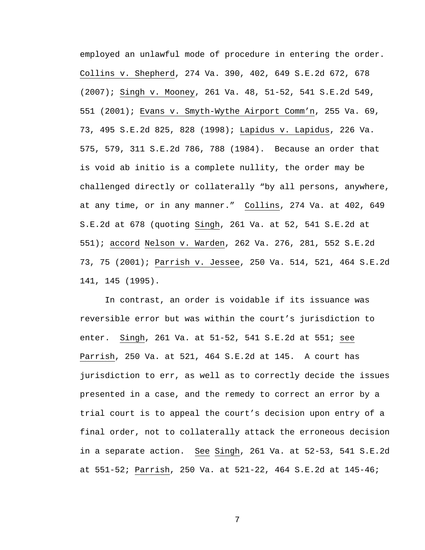employed an unlawful mode of procedure in entering the order. Collins v. Shepherd, 274 Va. 390, 402, 649 S.E.2d 672, 678 (2007); Singh v. Mooney, 261 Va. 48, 51-52, 541 S.E.2d 549, 551 (2001); Evans v. Smyth-Wythe Airport Comm'n, 255 Va. 69, 73, 495 S.E.2d 825, 828 (1998); Lapidus v. Lapidus, 226 Va. 575, 579, 311 S.E.2d 786, 788 (1984). Because an order that is void ab initio is a complete nullity, the order may be challenged directly or collaterally "by all persons, anywhere, at any time, or in any manner." Collins, 274 Va. at 402, 649 S.E.2d at 678 (quoting Singh, 261 Va. at 52, 541 S.E.2d at 551); accord Nelson v. Warden, 262 Va. 276, 281, 552 S.E.2d 73, 75 (2001); Parrish v. Jessee, 250 Va. 514, 521, 464 S.E.2d 141, 145 (1995).

 In contrast, an order is voidable if its issuance was reversible error but was within the court's jurisdiction to enter. Singh, 261 Va. at 51-52, 541 S.E.2d at 551; see Parrish, 250 Va. at 521, 464 S.E.2d at 145. A court has jurisdiction to err, as well as to correctly decide the issues presented in a case, and the remedy to correct an error by a trial court is to appeal the court's decision upon entry of a final order, not to collaterally attack the erroneous decision in a separate action. See Singh, 261 Va. at 52-53, 541 S.E.2d at 551-52; Parrish, 250 Va. at 521-22, 464 S.E.2d at 145-46;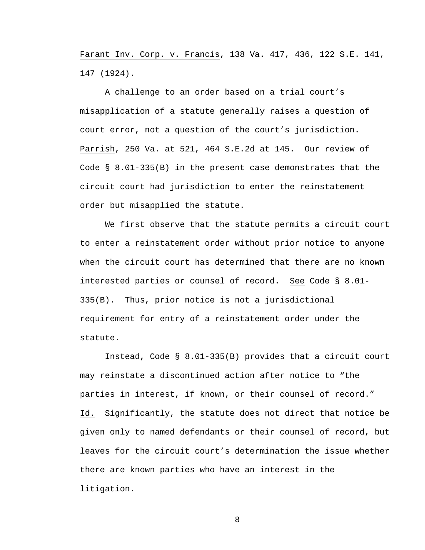Farant Inv. Corp. v. Francis, 138 Va. 417, 436, 122 S.E. 141, 147 (1924).

 A challenge to an order based on a trial court's misapplication of a statute generally raises a question of court error, not a question of the court's jurisdiction. Parrish, 250 Va. at 521, 464 S.E.2d at 145. Our review of Code § 8.01-335(B) in the present case demonstrates that the circuit court had jurisdiction to enter the reinstatement order but misapplied the statute.

 We first observe that the statute permits a circuit court to enter a reinstatement order without prior notice to anyone when the circuit court has determined that there are no known interested parties or counsel of record. See Code § 8.01- 335(B). Thus, prior notice is not a jurisdictional requirement for entry of a reinstatement order under the statute.

 Instead, Code § 8.01-335(B) provides that a circuit court may reinstate a discontinued action after notice to "the parties in interest, if known, or their counsel of record." Id. Significantly, the statute does not direct that notice be given only to named defendants or their counsel of record, but leaves for the circuit court's determination the issue whether there are known parties who have an interest in the litigation.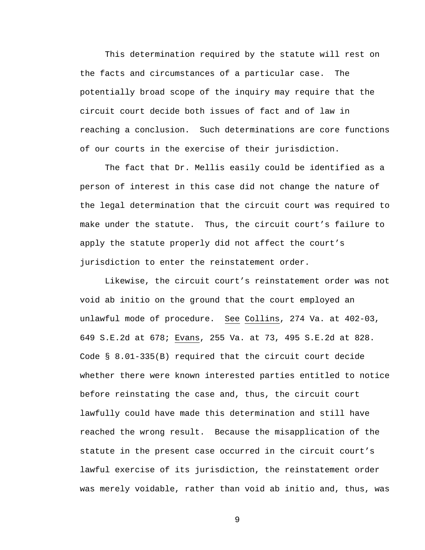This determination required by the statute will rest on the facts and circumstances of a particular case. The potentially broad scope of the inquiry may require that the circuit court decide both issues of fact and of law in reaching a conclusion. Such determinations are core functions of our courts in the exercise of their jurisdiction.

 The fact that Dr. Mellis easily could be identified as a person of interest in this case did not change the nature of the legal determination that the circuit court was required to make under the statute. Thus, the circuit court's failure to apply the statute properly did not affect the court's jurisdiction to enter the reinstatement order.

 Likewise, the circuit court's reinstatement order was not void ab initio on the ground that the court employed an unlawful mode of procedure. See Collins, 274 Va. at 402-03, 649 S.E.2d at 678; Evans, 255 Va. at 73, 495 S.E.2d at 828. Code § 8.01-335(B) required that the circuit court decide whether there were known interested parties entitled to notice before reinstating the case and, thus, the circuit court lawfully could have made this determination and still have reached the wrong result. Because the misapplication of the statute in the present case occurred in the circuit court's lawful exercise of its jurisdiction, the reinstatement order was merely voidable, rather than void ab initio and, thus, was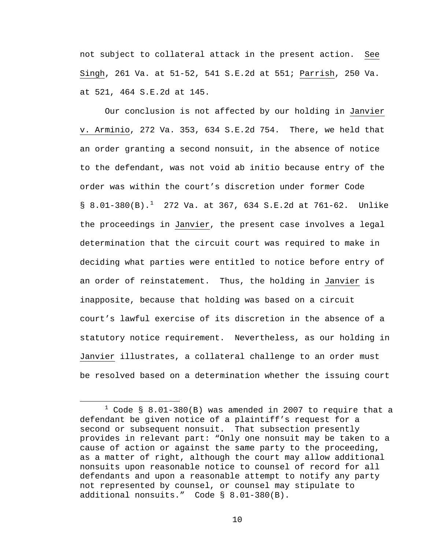not subject to collateral attack in the present action. See Singh, 261 Va. at 51-52, 541 S.E.2d at 551; Parrish, 250 Va. at 521, 464 S.E.2d at 145.

 Our conclusion is not affected by our holding in Janvier v. Arminio, 272 Va. 353, 634 S.E.2d 754. There, we held that an order granting a second nonsuit, in the absence of notice to the defendant, was not void ab initio because entry of the order was within the court's discretion under former Code § 8.0[1](#page-9-0)-380(B).<sup>1</sup> 272 Va. at 367, 634 S.E.2d at 761-62. Unlike the proceedings in Janvier, the present case involves a legal determination that the circuit court was required to make in deciding what parties were entitled to notice before entry of an order of reinstatement. Thus, the holding in Janvier is inapposite, because that holding was based on a circuit court's lawful exercise of its discretion in the absence of a statutory notice requirement. Nevertheless, as our holding in Janvier illustrates, a collateral challenge to an order must be resolved based on a determination whether the issuing court

<span id="page-9-0"></span> $\overline{\phantom{a}}$  $1$  Code § 8.01-380(B) was amended in 2007 to require that a defendant be given notice of a plaintiff's request for a second or subsequent nonsuit. That subsection presently provides in relevant part: "Only one nonsuit may be taken to a cause of action or against the same party to the proceeding, as a matter of right, although the court may allow additional nonsuits upon reasonable notice to counsel of record for all defendants and upon a reasonable attempt to notify any party not represented by counsel, or counsel may stipulate to additional nonsuits." Code § 8.01-380(B).